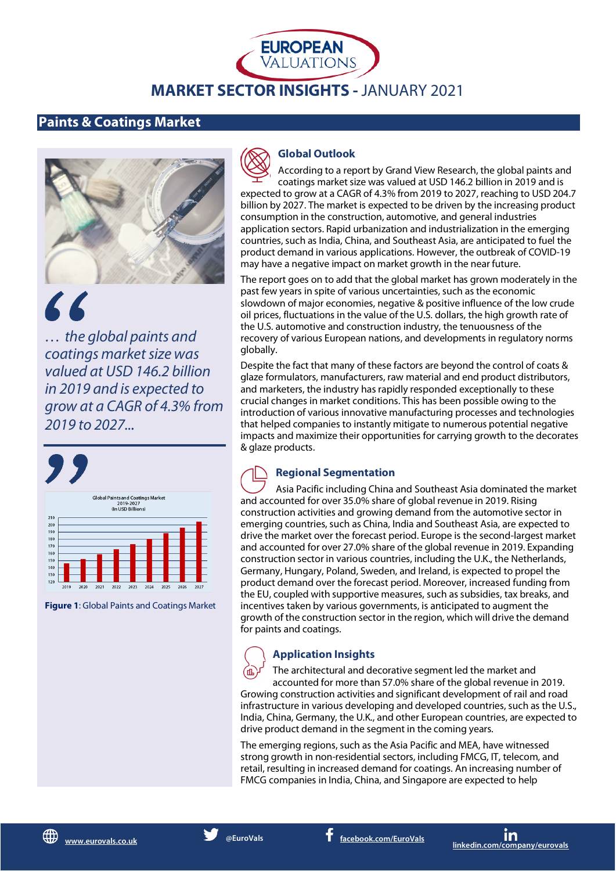# **EUROPEAN**<br>VALUATIONS **MARKET SECTOR INSIGHTS -** JANUARY 2021

## **Paints & Coatings Market**



66 *… the global paints and coatings market size was* 

*valued at USD 146.2 billion in 2019 and is expected to grow at a CAGR of 4.3% from 2019 to 2027...*



**Figure 1**: Global Paints and Coatings Market



## **Global Outlook**

According to a report by Grand View Research, the global paints and coatings market size was valued at USD 146.2 billion in 2019 and is expected to grow at a CAGR of 4.3% from 2019 to 2027, reaching to USD 204.7 billion by 2027. The market is expected to be driven by the increasing product consumption in the construction, automotive, and general industries application sectors. Rapid urbanization and industrialization in the emerging countries, such as India, China, and Southeast Asia, are anticipated to fuel the product demand in various applications. However, the outbreak of COVID-19 may have a negative impact on market growth in the near future.

The report goes on to add that the global market has grown moderately in the past few years in spite of various uncertainties, such as the economic slowdown of major economies, negative & positive influence of the low crude oil prices, fluctuations in the value of the U.S. dollars, the high growth rate of the U.S. automotive and construction industry, the tenuousness of the recovery of various European nations, and developments in regulatory norms globally.

Despite the fact that many of these factors are beyond the control of coats & glaze formulators, manufacturers, raw material and end product distributors, and marketers, the industry has rapidly responded exceptionally to these crucial changes in market conditions. This has been possible owing to the introduction of various innovative manufacturing processes and technologies that helped companies to instantly mitigate to numerous potential negative impacts and maximize their opportunities for carrying growth to the decorates & glaze products.

## **Regional Segmentation**

Asia Pacific including China and Southeast Asia dominated the market and accounted for over 35.0% share of global revenue in 2019. Rising construction activities and growing demand from the automotive sector in emerging countries, such as China, India and Southeast Asia, are expected to drive the market over the forecast period. Europe is the second-largest market and accounted for over 27.0% share of the global revenue in 2019. Expanding construction sector in various countries, including the U.K., the Netherlands, Germany, Hungary, Poland, Sweden, and Ireland, is expected to propel the product demand over the forecast period. Moreover, increased funding from the EU, coupled with supportive measures, such as subsidies, tax breaks, and incentives taken by various governments, is anticipated to augment the growth of the construction sector in the region, which will drive the demand for paints and coatings.

## **Application Insights**

The architectural and decorative segment led the market and accounted for more than 57.0% share of the global revenue in 2019. Growing construction activities and significant development of rail and road infrastructure in various developing and developed countries, such as the U.S., India, China, Germany, the U.K., and other European countries, are expected to drive product demand in the segment in the coming years.

The emerging regions, such as the Asia Pacific and MEA, have witnessed strong growth in non-residential sectors, including FMCG, IT, telecom, and retail, resulting in increased demand for coatings. An increasing number of FMCG companies in India, China, and Singapore are expected to help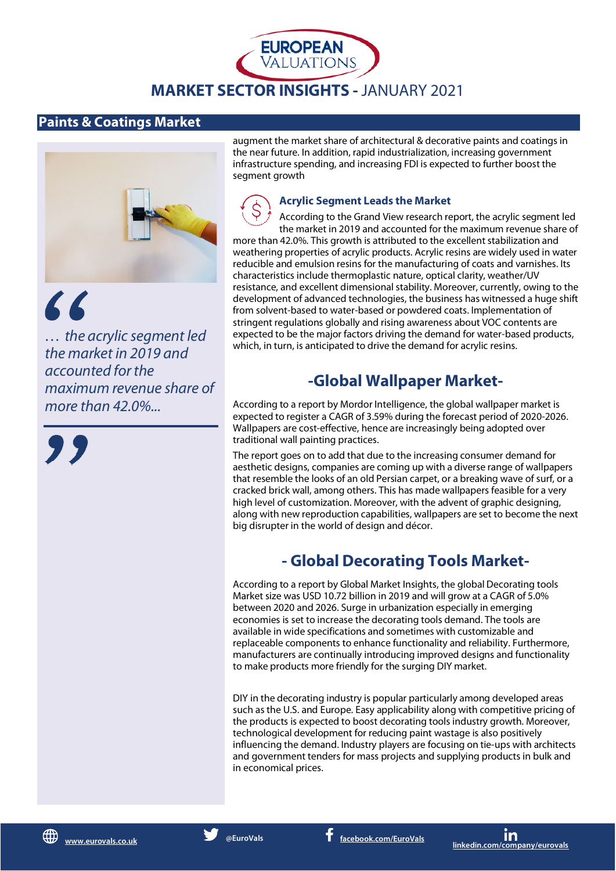

**EUROPEAN**<br>VALUATIONS

### **Paints & Coatings Market**



 $66$ 

*… the acrylic segment led the market in 2019 and accounted for the maximum revenue share of more than 42.0%...*



augment the market share of architectural & decorative paints and coatings in the near future. In addition, rapid industrialization, increasing government infrastructure spending, and increasing FDI is expected to further boost the segment growth

#### **Acrylic Segment Leads the Market**

According to the Grand View research report, the acrylic segment led the market in 2019 and accounted for the maximum revenue share of more than 42.0%. This growth is attributed to the excellent stabilization and weathering properties of acrylic products. Acrylic resins are widely used in water reducible and emulsion resins for the manufacturing of coats and varnishes. Its characteristics include thermoplastic nature, optical clarity, weather/UV resistance, and excellent dimensional stability. Moreover, currently, owing to the development of advanced technologies, the business has witnessed a huge shift from solvent-based to water-based or powdered coats. Implementation of stringent regulations globally and rising awareness about VOC contents are expected to be the major factors driving the demand for water-based products, which, in turn, is anticipated to drive the demand for acrylic resins.

# **-Global Wallpaper Market-**

According to a report by Mordor Intelligence, the global wallpaper market is expected to register a CAGR of 3.59% during the forecast period of 2020-2026. Wallpapers are cost-effective, hence are increasingly being adopted over traditional wall painting practices.

The report goes on to add that due to the increasing consumer demand for aesthetic designs, companies are coming up with a diverse range of wallpapers that resemble the looks of an old Persian carpet, or a breaking wave of surf, or a cracked brick wall, among others. This has made wallpapers feasible for a very high level of customization. Moreover, with the advent of graphic designing, along with new reproduction capabilities, wallpapers are set to become the next big disrupter in the world of design and décor.

# **- Global Decorating Tools Market-**

According to a report by Global Market Insights, the global Decorating tools Market size was USD 10.72 billion in 2019 and will grow at a CAGR of 5.0% between 2020 and 2026. Surge in urbanization especially in emerging economies is set to increase the decorating tools demand. The tools are available in wide specifications and sometimes with customizable and replaceable components to enhance functionality and reliability. Furthermore, manufacturers are continually introducing improved designs and functionality to make products more friendly for the surging DIY market.

DIY in the decorating industry is popular particularly among developed areas such as the U.S. and Europe. Easy applicability along with competitive pricing of the products is expected to boost decorating tools industry growth. Moreover, technological development for reducing paint wastage is also positively influencing the demand. Industry players are focusing on tie-ups with architects and government tenders for mass projects and supplying products in bulk and in economical prices.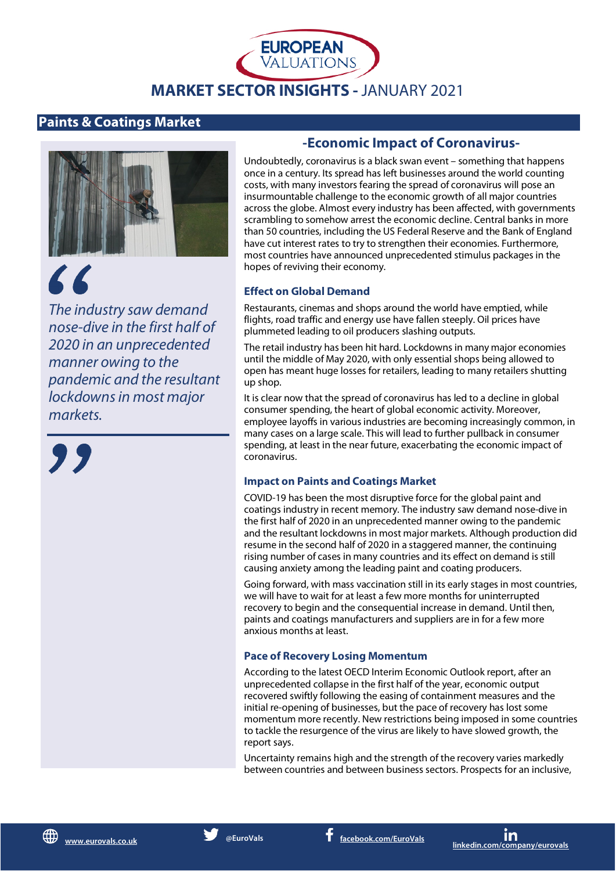# **MARKET SECTOR INSIGHTS -** JANUARY 2021

**EUROPEAN**<br>VALUATIONS

## **Paints & Coatings Market**



# 66

*The industry saw demand nose-dive in the first half of 2020 in an unprecedented manner owing to the pandemic and the resultant lockdowns in most major markets.*

## **-Economic Impact of Coronavirus-**

Undoubtedly, coronavirus is a black swan event – something that happens once in a century. Its spread has left businesses around the world counting costs, with many investors fearing the spread of coronavirus will pose an insurmountable challenge to the economic growth of all major countries across the globe. Almost every industry has been affected, with governments scrambling to somehow arrest the economic decline. Central banks in more than 50 countries, including the US Federal Reserve and the Bank of England have cut interest rates to try to strengthen their economies. Furthermore, most countries have announced unprecedented stimulus packages in the hopes of reviving their economy.

## **Effect on Global Demand**

Restaurants, cinemas and shops around the world have emptied, while flights, road traffic and energy use have fallen steeply. Oil prices have plummeted leading to oil producers slashing outputs.

The retail industry has been hit hard. Lockdowns in many major economies until the middle of May 2020, with only essential shops being allowed to open has meant huge losses for retailers, leading to many retailers shutting up shop.

It is clear now that the spread of coronavirus has led to a decline in global consumer spending, the heart of global economic activity. Moreover, employee layoffs in various industries are becoming increasingly common, in many cases on a large scale. This will lead to further pullback in consumer spending, at least in the near future, exacerbating the economic impact of coronavirus.

#### **Impact on Paints and Coatings Market**

COVID-19 has been the most disruptive force for the global paint and coatings industry in recent memory. The industry saw demand nose-dive in the first half of 2020 in an unprecedented manner owing to the pandemic and the resultant lockdowns in most major markets. Although production did resume in the second half of 2020 in a staggered manner, the continuing rising number of cases in many countries and its effect on demand is still causing anxiety among the leading paint and coating producers.

Going forward, with mass vaccination still in its early stages in most countries, we will have to wait for at least a few more months for uninterrupted recovery to begin and the consequential increase in demand. Until then, paints and coatings manufacturers and suppliers are in for a few more anxious months at least.

#### **Pace of Recovery Losing Momentum**

According to the latest OECD Interim Economic Outlook report, after an unprecedented collapse in the first half of the year, economic output recovered swiftly following the easing of containment measures and the initial re-opening of businesses, but the pace of recovery has lost some momentum more recently. New restrictions being imposed in some countries to tackle the resurgence of the virus are likely to have slowed growth, the report says.

Uncertainty remains high and the strength of the recovery varies markedly between countries and between business sectors. Prospects for an inclusive,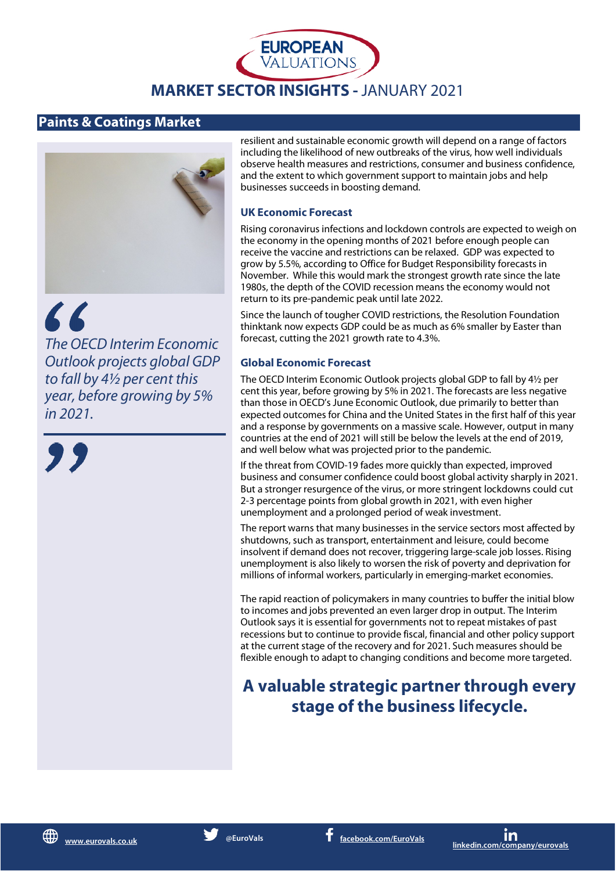

**EUROPEAN**<br>VALUATIONS

## **Paints & Coatings Market**



 $66$ *The OECD Interim Economic Outlook projects global GDP to fall by 4½ per cent this year, before growing by 5%* 

*in 2021.*

resilient and sustainable economic growth will depend on a range of factors including the likelihood of new outbreaks of the virus, how well individuals observe health measures and restrictions, consumer and business confidence, and the extent to which government support to maintain jobs and help businesses succeeds in boosting demand.

#### **UK Economic Forecast**

Rising coronavirus infections and lockdown controls are expected to weigh on the economy in the opening months of 2021 before enough people can receive the vaccine and restrictions can be relaxed. GDP was expected to grow by 5.5%, according to Office for Budget Responsibility forecasts in November. While this would mark the strongest growth rate since the late 1980s, the depth of the COVID recession means the economy would not return to its pre-pandemic peak until late 2022.

Since the launch of tougher COVID restrictions, the Resolution Foundation thinktank now expects GDP could be as much as 6% smaller by Easter than forecast, cutting the 2021 growth rate to 4.3%.

#### **Global Economic Forecast**

The OECD Interim Economic Outlook projects global GDP to fall by 4½ per cent this year, before growing by 5% in 2021. The forecasts are less negative than those in OECD's June Economic Outlook, due primarily to better than expected outcomes for China and the United States in the first half of this year and a response by governments on a massive scale. However, output in many countries at the end of 2021 will still be below the levels at the end of 2019, and well below what was projected prior to the pandemic.

If the threat from COVID-19 fades more quickly than expected, improved business and consumer confidence could boost global activity sharply in 2021. But a stronger resurgence of the virus, or more stringent lockdowns could cut 2-3 percentage points from global growth in 2021, with even higher unemployment and a prolonged period of weak investment.

The report warns that many businesses in the service sectors most affected by shutdowns, such as transport, entertainment and leisure, could become insolvent if demand does not recover, triggering large-scale job losses. Rising unemployment is also likely to worsen the risk of poverty and deprivation for millions of informal workers, particularly in emerging-market economies.

The rapid reaction of policymakers in many countries to buffer the initial blow to incomes and jobs prevented an even larger drop in output. The Interim Outlook says it is essential for governments not to repeat mistakes of past recessions but to continue to provide fiscal, financial and other policy support at the current stage of the recovery and for 2021. Such measures should be flexible enough to adapt to changing conditions and become more targeted.

# **A valuable strategic partner through every stage of the business lifecycle.**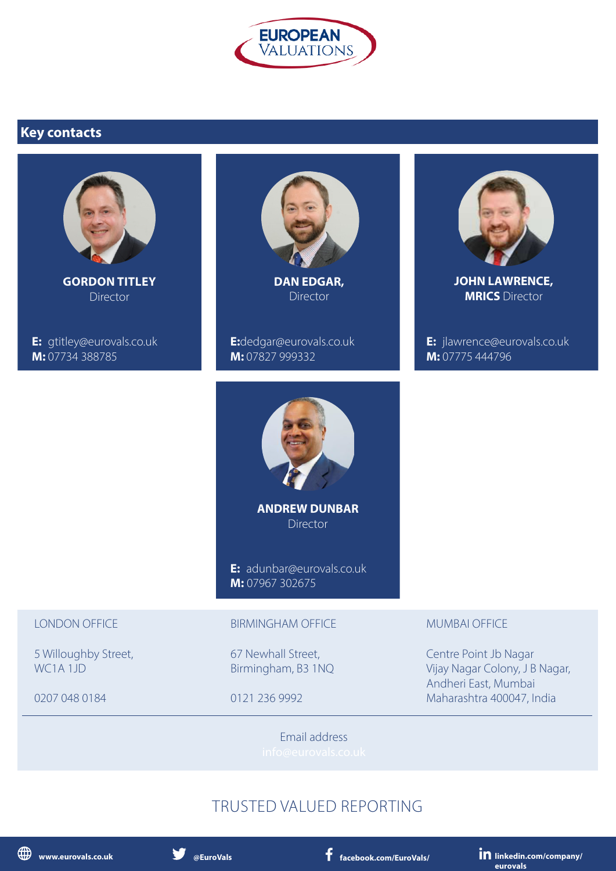

# **Key contacts**



**GORDON TITLEY Director** 

**E:** [gtitley@eurovals.co.uk](mailto:gtitley@eurovals.co.uk) **M:** 07734 388785



**DAN EDGAR,** Director

**E:**dedgar[@eurovals.co.uk](mailto:pbache@eurovals.co.uk) **M:** 07827 999332



**JOHN LAWRENCE, MRICS** Director

**E:** jlawrence[@eurovals.co.uk](mailto:dedgar@eurovals.co.uk) **M:** 07775 444796



**ANDREW DUNBAR Director** 

**E:** [adunbar@eurovals.co.uk](mailto:adunbar@eurovals.co.uk) **M:** 07967 302675

#### LONDON OFFICE

5 Willoughby Street, WC1A 1JD

0207 048 0184

#### BIRMINGHAM OFFICE

67 Newhall Street, Birmingham, B3 1NQ

0121 236 9992

#### MUMBAI OFFICE

Centre Point Jb Nagar Vijay Nagar Colony, J B Nagar, Andheri East, Mumbai Maharashtra 400047, India

Email address

# TRUSTED VALUED REPORTING